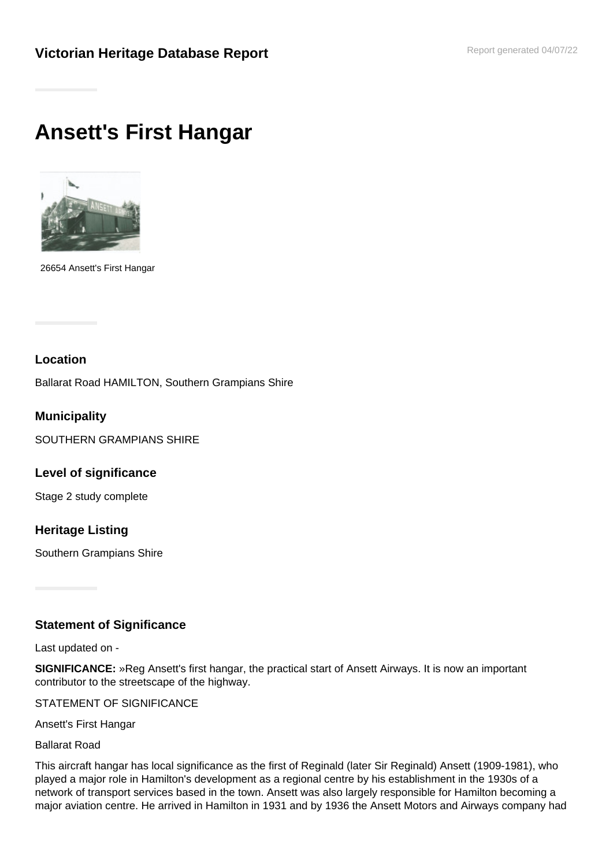# **Ansett's First Hangar**



26654 Ansett's First Hangar

#### **Location**

Ballarat Road HAMILTON, Southern Grampians Shire

**Municipality** SOUTHERN GRAMPIANS SHIRE

**Level of significance**

Stage 2 study complete

### **Heritage Listing**

Southern Grampians Shire

### **Statement of Significance**

Last updated on -

**SIGNIFICANCE:** »Reg Ansett's first hangar, the practical start of Ansett Airways. It is now an important contributor to the streetscape of the highway.

STATEMENT OF SIGNIFICANCE

Ansett's First Hangar

Ballarat Road

This aircraft hangar has local significance as the first of Reginald (later Sir Reginald) Ansett (1909-1981), who played a major role in Hamilton's development as a regional centre by his establishment in the 1930s of a network of transport services based in the town. Ansett was also largely responsible for Hamilton becoming a major aviation centre. He arrived in Hamilton in 1931 and by 1936 the Ansett Motors and Airways company had